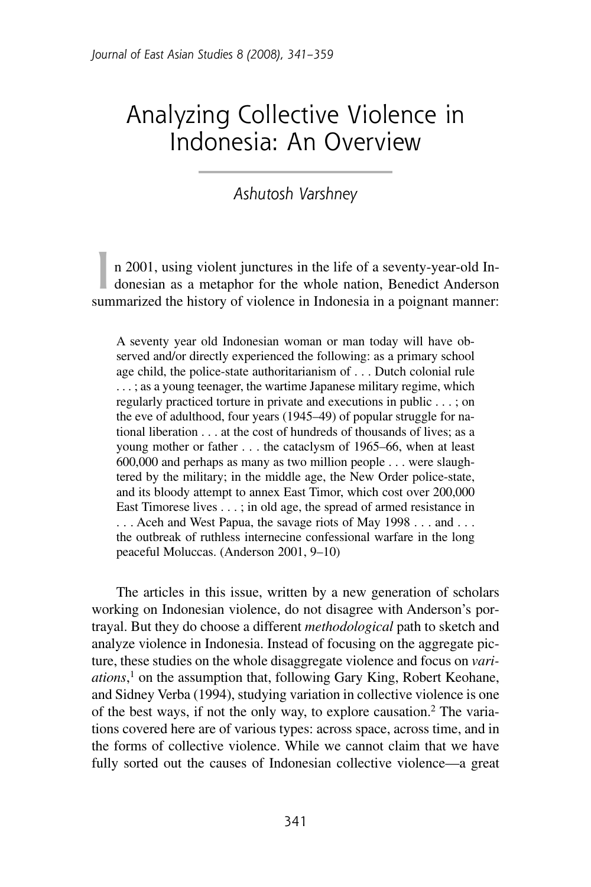# Analyzing Collective Violence in Indonesia: An Overview

# *Ashutosh Varshney*

n 2001, using violent junctures in the life of a seventy-year-old Indonesian as a metaphor for the whole nation, Benedict Anderson summarized the history of violence in Indonesia in a poignant manner: n 2001, using violent junctures in the life of a seventy-year-old Indonesian as a metaphor for the whole nation, Benedict Anderson

A seventy year old Indonesian woman or man today will have observed and/or directly experienced the following: as a primary school age child, the police-state authoritarianism of . . . Dutch colonial rule . . . ; as a young teenager, the wartime Japanese military regime, which regularly practiced torture in private and executions in public . . . ; on the eve of adulthood, four years (1945–49) of popular struggle for national liberation . . . at the cost of hundreds of thousands of lives; as a young mother or father . . . the cataclysm of 1965–66, when at least 600,000 and perhaps as many as two million people . . . were slaughtered by the military; in the middle age, the New Order police-state, and its bloody attempt to annex East Timor, which cost over 200,000 East Timorese lives . . . ; in old age, the spread of armed resistance in . . . Aceh and West Papua, the savage riots of May 1998 . . . and . . . the outbreak of ruthless internecine confessional warfare in the long peaceful Moluccas. (Anderson 2001, 9–10)

The articles in this issue, written by a new generation of scholars working on Indonesian violence, do not disagree with Anderson's portrayal. But they do choose a different *methodological* path to sketch and analyze violence in Indonesia. Instead of focusing on the aggregate picture, these studies on the whole disaggregate violence and focus on *variations*, <sup>1</sup> on the assumption that, following Gary King, Robert Keohane, and Sidney Verba (1994), studying variation in collective violence is one of the best ways, if not the only way, to explore causation.<sup>2</sup> The variations covered here are of various types: across space, across time, and in the forms of collective violence. While we cannot claim that we have fully sorted out the causes of Indonesian collective violence—a great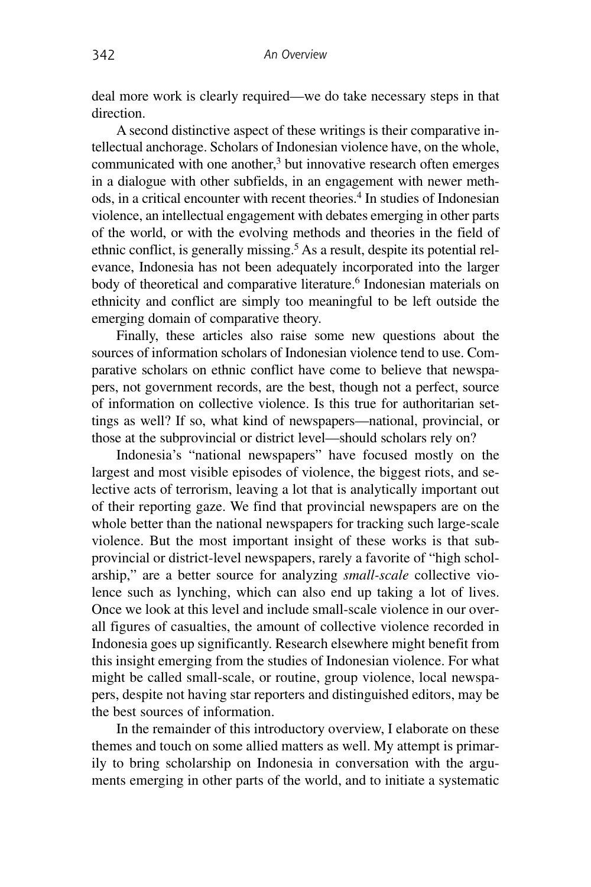deal more work is clearly required—we do take necessary steps in that direction.

A second distinctive aspect of these writings is their comparative intellectual anchorage. Scholars of Indonesian violence have, on the whole, communicated with one another, $3$  but innovative research often emerges in a dialogue with other subfields, in an engagement with newer methods, in a critical encounter with recent theories.4 In studies of Indonesian violence, an intellectual engagement with debates emerging in other parts of the world, or with the evolving methods and theories in the field of ethnic conflict, is generally missing.<sup>5</sup> As a result, despite its potential relevance, Indonesia has not been adequately incorporated into the larger body of theoretical and comparative literature.<sup>6</sup> Indonesian materials on ethnicity and conflict are simply too meaningful to be left outside the emerging domain of comparative theory.

Finally, these articles also raise some new questions about the sources of information scholars of Indonesian violence tend to use. Comparative scholars on ethnic conflict have come to believe that newspapers, not government records, are the best, though not a perfect, source of information on collective violence. Is this true for authoritarian settings as well? If so, what kind of newspapers—national, provincial, or those at the subprovincial or district level—should scholars rely on?

Indonesia's "national newspapers" have focused mostly on the largest and most visible episodes of violence, the biggest riots, and selective acts of terrorism, leaving a lot that is analytically important out of their reporting gaze. We find that provincial newspapers are on the whole better than the national newspapers for tracking such large-scale violence. But the most important insight of these works is that subprovincial or district-level newspapers, rarely a favorite of "high scholarship," are a better source for analyzing *small-scale* collective violence such as lynching, which can also end up taking a lot of lives. Once we look at this level and include small-scale violence in our overall figures of casualties, the amount of collective violence recorded in Indonesia goes up significantly. Research elsewhere might benefit from this insight emerging from the studies of Indonesian violence. For what might be called small-scale, or routine, group violence, local newspapers, despite not having star reporters and distinguished editors, may be the best sources of information.

In the remainder of this introductory overview, I elaborate on these themes and touch on some allied matters as well. My attempt is primarily to bring scholarship on Indonesia in conversation with the arguments emerging in other parts of the world, and to initiate a systematic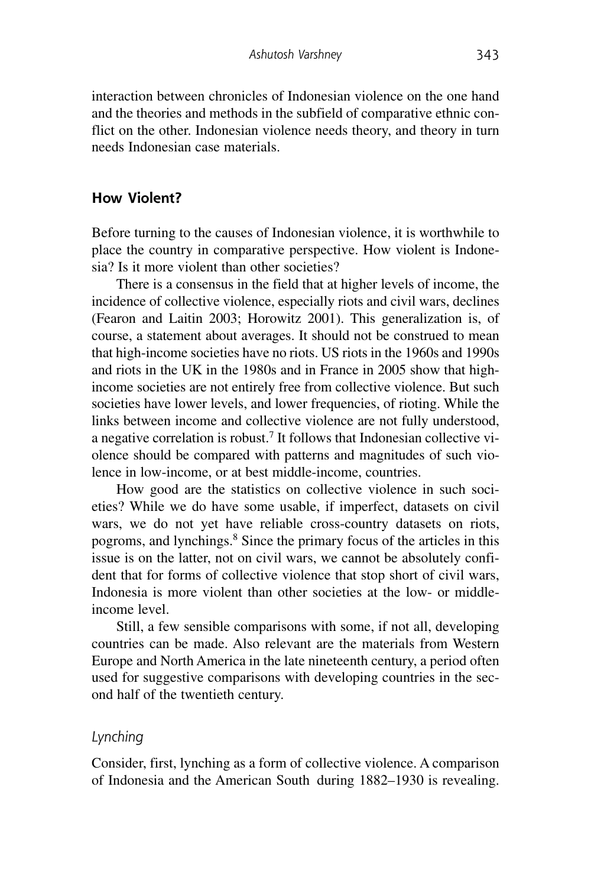interaction between chronicles of Indonesian violence on the one hand and the theories and methods in the subfield of comparative ethnic conflict on the other. Indonesian violence needs theory, and theory in turn needs Indonesian case materials.

# **How Violent?**

Before turning to the causes of Indonesian violence, it is worthwhile to place the country in comparative perspective. How violent is Indonesia? Is it more violent than other societies?

There is a consensus in the field that at higher levels of income, the incidence of collective violence, especially riots and civil wars, declines (Fearon and Laitin 2003; Horowitz 2001). This generalization is, of course, a statement about averages. It should not be construed to mean that high-income societies have no riots. US riots in the 1960s and 1990s and riots in the UK in the 1980s and in France in 2005 show that highincome societies are not entirely free from collective violence. But such societies have lower levels, and lower frequencies, of rioting. While the links between income and collective violence are not fully understood, a negative correlation is robust.<sup>7</sup> It follows that Indonesian collective violence should be compared with patterns and magnitudes of such violence in low-income, or at best middle-income, countries.

How good are the statistics on collective violence in such societies? While we do have some usable, if imperfect, datasets on civil wars, we do not yet have reliable cross-country datasets on riots, pogroms, and lynchings.8 Since the primary focus of the articles in this issue is on the latter, not on civil wars, we cannot be absolutely confident that for forms of collective violence that stop short of civil wars, Indonesia is more violent than other societies at the low- or middleincome level.

Still, a few sensible comparisons with some, if not all, developing countries can be made. Also relevant are the materials from Western Europe and North America in the late nineteenth century, a period often used for suggestive comparisons with developing countries in the second half of the twentieth century.

#### *Lynching*

Consider, first, lynching as a form of collective violence. A comparison of Indonesia and the American South during 1882–1930 is revealing.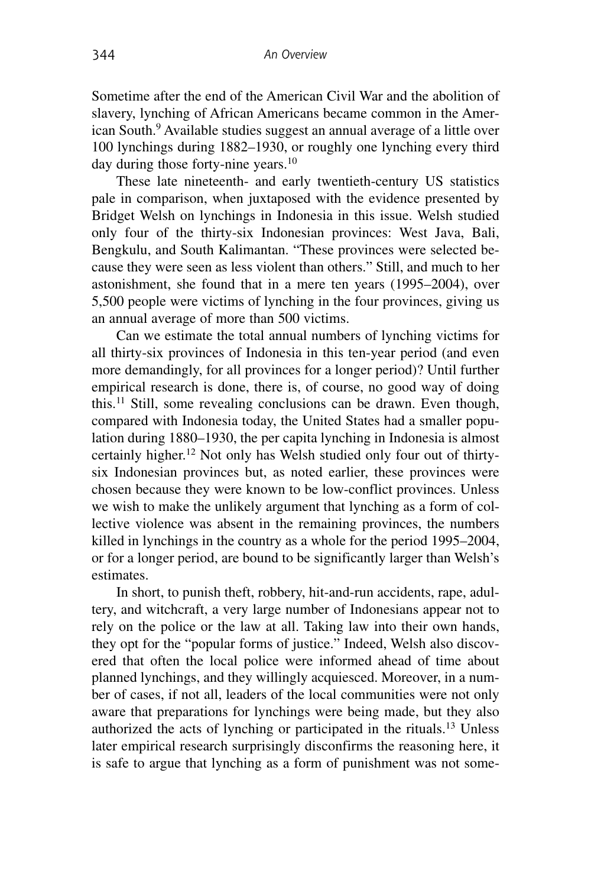Sometime after the end of the American Civil War and the abolition of slavery, lynching of African Americans became common in the American South.<sup>9</sup> Available studies suggest an annual average of a little over 100 lynchings during 1882–1930, or roughly one lynching every third day during those forty-nine years.<sup>10</sup>

These late nineteenth- and early twentieth-century US statistics pale in comparison, when juxtaposed with the evidence presented by Bridget Welsh on lynchings in Indonesia in this issue. Welsh studied only four of the thirty-six Indonesian provinces: West Java, Bali, Bengkulu, and South Kalimantan. "These provinces were selected because they were seen as less violent than others." Still, and much to her astonishment, she found that in a mere ten years (1995–2004), over 5,500 people were victims of lynching in the four provinces, giving us an annual average of more than 500 victims.

Can we estimate the total annual numbers of lynching victims for all thirty-six provinces of Indonesia in this ten-year period (and even more demandingly, for all provinces for a longer period)? Until further empirical research is done, there is, of course, no good way of doing this.11 Still, some revealing conclusions can be drawn. Even though, compared with Indonesia today, the United States had a smaller population during 1880–1930, the per capita lynching in Indonesia is almost certainly higher.12 Not only has Welsh studied only four out of thirtysix Indonesian provinces but, as noted earlier, these provinces were chosen because they were known to be low-conflict provinces. Unless we wish to make the unlikely argument that lynching as a form of collective violence was absent in the remaining provinces, the numbers killed in lynchings in the country as a whole for the period 1995–2004, or for a longer period, are bound to be significantly larger than Welsh's estimates.

In short, to punish theft, robbery, hit-and-run accidents, rape, adultery, and witchcraft, a very large number of Indonesians appear not to rely on the police or the law at all. Taking law into their own hands, they opt for the "popular forms of justice." Indeed, Welsh also discovered that often the local police were informed ahead of time about planned lynchings, and they willingly acquiesced. Moreover, in a number of cases, if not all, leaders of the local communities were not only aware that preparations for lynchings were being made, but they also authorized the acts of lynching or participated in the rituals.13 Unless later empirical research surprisingly disconfirms the reasoning here, it is safe to argue that lynching as a form of punishment was not some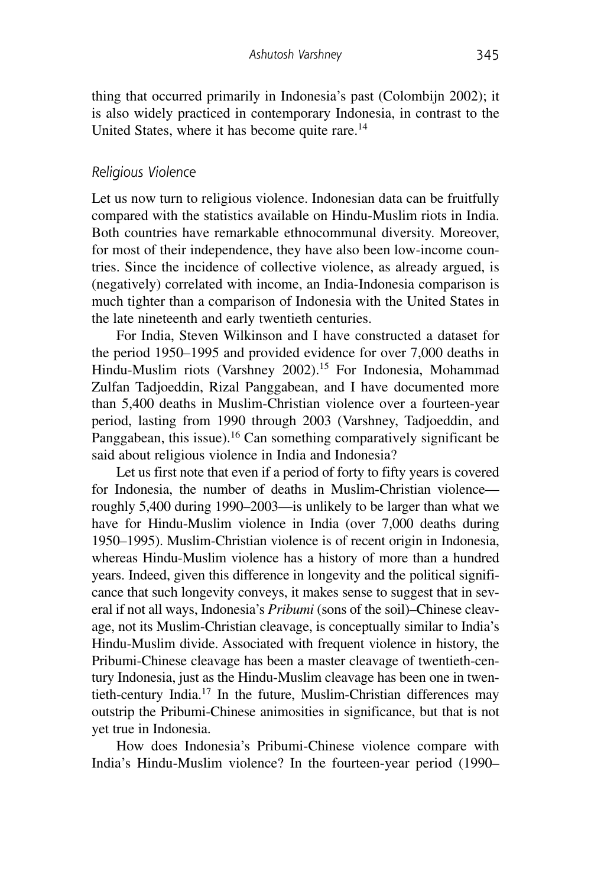thing that occurred primarily in Indonesia's past (Colombijn 2002); it is also widely practiced in contemporary Indonesia, in contrast to the United States, where it has become quite rare.<sup>14</sup>

#### *Religious Violence*

Let us now turn to religious violence. Indonesian data can be fruitfully compared with the statistics available on Hindu-Muslim riots in India. Both countries have remarkable ethnocommunal diversity. Moreover, for most of their independence, they have also been low-income countries. Since the incidence of collective violence, as already argued, is (negatively) correlated with income, an India-Indonesia comparison is much tighter than a comparison of Indonesia with the United States in the late nineteenth and early twentieth centuries.

For India, Steven Wilkinson and I have constructed a dataset for the period 1950–1995 and provided evidence for over 7,000 deaths in Hindu-Muslim riots (Varshney 2002).<sup>15</sup> For Indonesia, Mohammad Zulfan Tadjoeddin, Rizal Panggabean, and I have documented more than 5,400 deaths in Muslim-Christian violence over a fourteen-year period, lasting from 1990 through 2003 (Varshney, Tadjoeddin, and Panggabean, this issue).<sup>16</sup> Can something comparatively significant be said about religious violence in India and Indonesia?

Let us first note that even if a period of forty to fifty years is covered for Indonesia, the number of deaths in Muslim-Christian violence roughly 5,400 during 1990–2003—is unlikely to be larger than what we have for Hindu-Muslim violence in India (over 7,000 deaths during 1950–1995). Muslim-Christian violence is of recent origin in Indonesia, whereas Hindu-Muslim violence has a history of more than a hundred years. Indeed, given this difference in longevity and the political significance that such longevity conveys, it makes sense to suggest that in several if not all ways, Indonesia's *Pribumi* (sons of the soil)*–*Chinese cleavage, not its Muslim-Christian cleavage, is conceptually similar to India's Hindu-Muslim divide. Associated with frequent violence in history, the Pribumi-Chinese cleavage has been a master cleavage of twentieth-century Indonesia, just as the Hindu-Muslim cleavage has been one in twentieth-century India.17 In the future, Muslim-Christian differences may outstrip the Pribumi-Chinese animosities in significance, but that is not yet true in Indonesia.

How does Indonesia's Pribumi-Chinese violence compare with India's Hindu-Muslim violence? In the fourteen-year period (1990–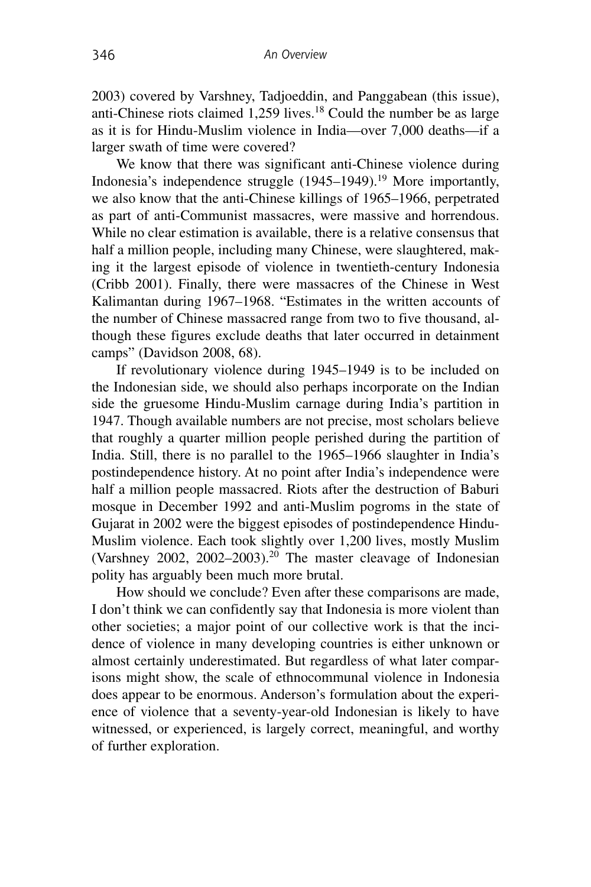2003) covered by Varshney, Tadjoeddin, and Panggabean (this issue), anti-Chinese riots claimed  $1,259$  lives.<sup>18</sup> Could the number be as large as it is for Hindu-Muslim violence in India—over 7,000 deaths—if a larger swath of time were covered?

We know that there was significant anti-Chinese violence during Indonesia's independence struggle  $(1945-1949)$ <sup>19</sup> More importantly, we also know that the anti-Chinese killings of 1965–1966, perpetrated as part of anti-Communist massacres, were massive and horrendous. While no clear estimation is available, there is a relative consensus that half a million people, including many Chinese, were slaughtered, making it the largest episode of violence in twentieth-century Indonesia (Cribb 2001). Finally, there were massacres of the Chinese in West Kalimantan during 1967–1968. "Estimates in the written accounts of the number of Chinese massacred range from two to five thousand, although these figures exclude deaths that later occurred in detainment camps" (Davidson 2008, 68).

If revolutionary violence during 1945–1949 is to be included on the Indonesian side, we should also perhaps incorporate on the Indian side the gruesome Hindu-Muslim carnage during India's partition in 1947. Though available numbers are not precise, most scholars believe that roughly a quarter million people perished during the partition of India. Still, there is no parallel to the 1965–1966 slaughter in India's postindependence history. At no point after India's independence were half a million people massacred. Riots after the destruction of Baburi mosque in December 1992 and anti-Muslim pogroms in the state of Gujarat in 2002 were the biggest episodes of postindependence Hindu-Muslim violence. Each took slightly over 1,200 lives, mostly Muslim (Varshney 2002, 2002–2003).<sup>20</sup> The master cleavage of Indonesian polity has arguably been much more brutal.

How should we conclude? Even after these comparisons are made, I don't think we can confidently say that Indonesia is more violent than other societies; a major point of our collective work is that the incidence of violence in many developing countries is either unknown or almost certainly underestimated. But regardless of what later comparisons might show, the scale of ethnocommunal violence in Indonesia does appear to be enormous. Anderson's formulation about the experience of violence that a seventy-year-old Indonesian is likely to have witnessed, or experienced, is largely correct, meaningful, and worthy of further exploration.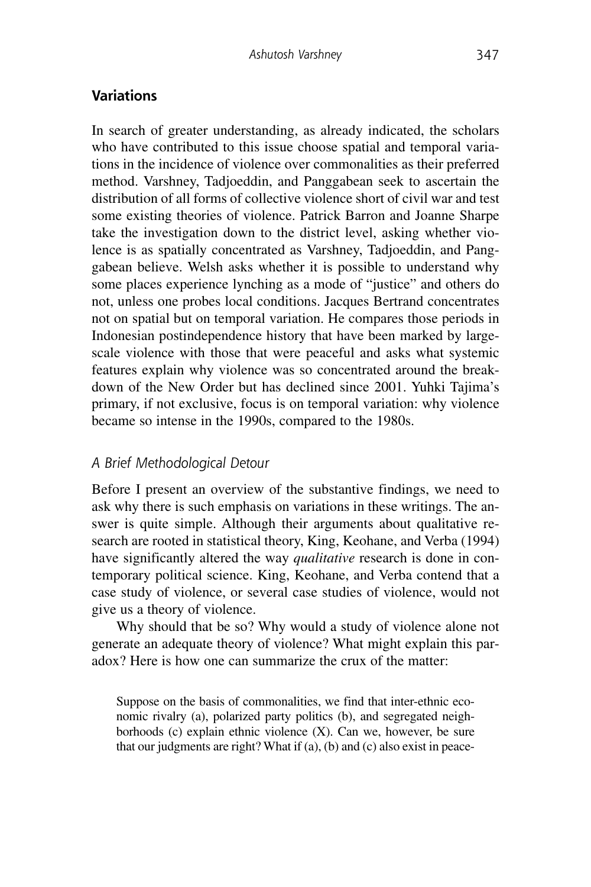# **Variations**

In search of greater understanding, as already indicated, the scholars who have contributed to this issue choose spatial and temporal variations in the incidence of violence over commonalities as their preferred method. Varshney, Tadjoeddin, and Panggabean seek to ascertain the distribution of all forms of collective violence short of civil war and test some existing theories of violence. Patrick Barron and Joanne Sharpe take the investigation down to the district level, asking whether violence is as spatially concentrated as Varshney, Tadjoeddin, and Panggabean believe. Welsh asks whether it is possible to understand why some places experience lynching as a mode of "justice" and others do not, unless one probes local conditions. Jacques Bertrand concentrates not on spatial but on temporal variation. He compares those periods in Indonesian postindependence history that have been marked by largescale violence with those that were peaceful and asks what systemic features explain why violence was so concentrated around the breakdown of the New Order but has declined since 2001. Yuhki Tajima's primary, if not exclusive, focus is on temporal variation: why violence became so intense in the 1990s, compared to the 1980s.

# *A Brief Methodological Detour*

Before I present an overview of the substantive findings, we need to ask why there is such emphasis on variations in these writings. The answer is quite simple. Although their arguments about qualitative research are rooted in statistical theory, King, Keohane, and Verba (1994) have significantly altered the way *qualitative* research is done in contemporary political science. King, Keohane, and Verba contend that a case study of violence, or several case studies of violence, would not give us a theory of violence.

Why should that be so? Why would a study of violence alone not generate an adequate theory of violence? What might explain this paradox? Here is how one can summarize the crux of the matter:

Suppose on the basis of commonalities, we find that inter-ethnic economic rivalry (a), polarized party politics (b), and segregated neighborhoods (c) explain ethnic violence (X). Can we, however, be sure that our judgments are right? What if (a), (b) and (c) also exist in peace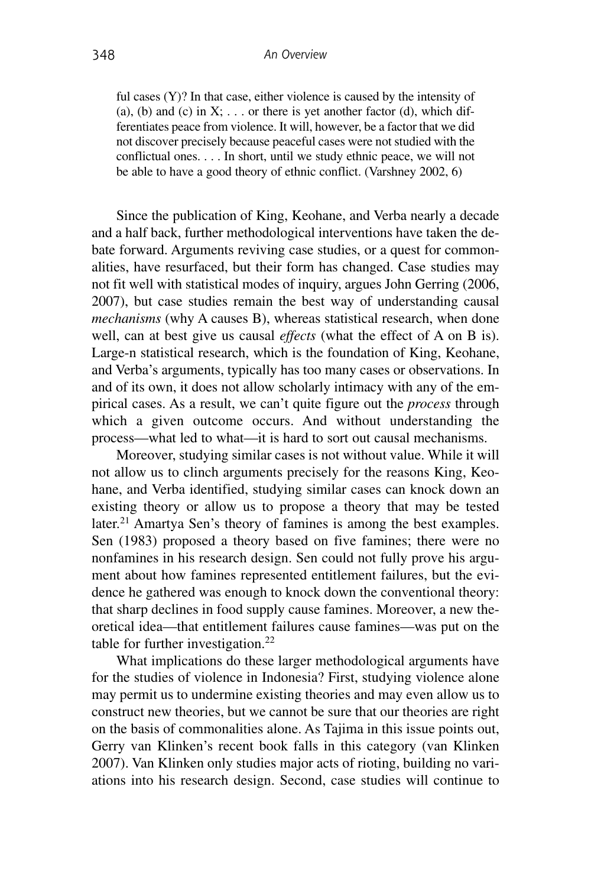ful cases (Y)? In that case, either violence is caused by the intensity of (a), (b) and (c) in  $X$ ; ... or there is yet another factor (d), which differentiates peace from violence. It will, however, be a factor that we did not discover precisely because peaceful cases were not studied with the conflictual ones. . . . In short, until we study ethnic peace, we will not be able to have a good theory of ethnic conflict. (Varshney 2002, 6)

Since the publication of King, Keohane, and Verba nearly a decade and a half back, further methodological interventions have taken the debate forward. Arguments reviving case studies, or a quest for commonalities, have resurfaced, but their form has changed. Case studies may not fit well with statistical modes of inquiry, argues John Gerring (2006, 2007), but case studies remain the best way of understanding causal *mechanisms* (why A causes B), whereas statistical research, when done well, can at best give us causal *effects* (what the effect of A on B is). Large-n statistical research, which is the foundation of King, Keohane, and Verba's arguments, typically has too many cases or observations. In and of its own, it does not allow scholarly intimacy with any of the empirical cases. As a result, we can't quite figure out the *process* through which a given outcome occurs. And without understanding the process—what led to what—it is hard to sort out causal mechanisms.

Moreover, studying similar cases is not without value. While it will not allow us to clinch arguments precisely for the reasons King, Keohane, and Verba identified, studying similar cases can knock down an existing theory or allow us to propose a theory that may be tested later.<sup>21</sup> Amartya Sen's theory of famines is among the best examples. Sen (1983) proposed a theory based on five famines; there were no nonfamines in his research design. Sen could not fully prove his argument about how famines represented entitlement failures, but the evidence he gathered was enough to knock down the conventional theory: that sharp declines in food supply cause famines. Moreover, a new theoretical idea—that entitlement failures cause famines—was put on the table for further investigation.<sup>22</sup>

What implications do these larger methodological arguments have for the studies of violence in Indonesia? First, studying violence alone may permit us to undermine existing theories and may even allow us to construct new theories, but we cannot be sure that our theories are right on the basis of commonalities alone. As Tajima in this issue points out, Gerry van Klinken's recent book falls in this category (van Klinken 2007). Van Klinken only studies major acts of rioting, building no variations into his research design. Second, case studies will continue to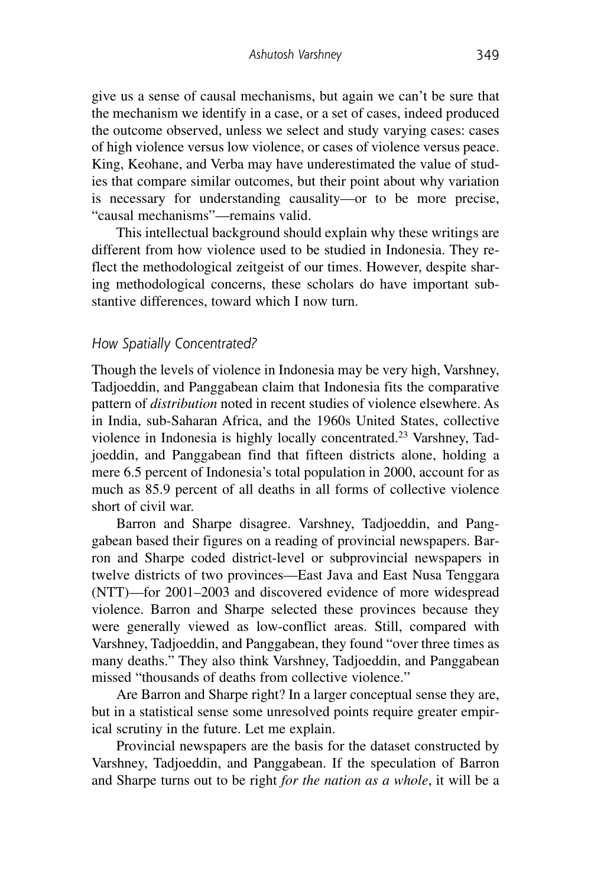give us a sense of causal mechanisms, but again we can't be sure that the mechanism we identify in a case, or a set of cases, indeed produced the outcome observed, unless we select and study varying cases: cases of high violence versus low violence, or cases of violence versus peace. King, Keohane, and Verba may have underestimated the value of studies that compare similar outcomes, but their point about why variation is necessary for understanding causality—or to be more precise, "causal mechanisms"—remains valid.

This intellectual background should explain why these writings are different from how violence used to be studied in Indonesia. They reflect the methodological zeitgeist of our times. However, despite sharing methodological concerns, these scholars do have important substantive differences, toward which I now turn.

#### *How Spatially Concentrated?*

Though the levels of violence in Indonesia may be very high, Varshney, Tadjoeddin, and Panggabean claim that Indonesia fits the comparative pattern of *distribution* noted in recent studies of violence elsewhere. As in India, sub-Saharan Africa, and the 1960s United States, collective violence in Indonesia is highly locally concentrated.23 Varshney, Tadjoeddin, and Panggabean find that fifteen districts alone, holding a mere 6.5 percent of Indonesia's total population in 2000, account for as much as 85.9 percent of all deaths in all forms of collective violence short of civil war.

Barron and Sharpe disagree. Varshney, Tadjoeddin, and Panggabean based their figures on a reading of provincial newspapers. Barron and Sharpe coded district-level or subprovincial newspapers in twelve districts of two provinces—East Java and East Nusa Tenggara (NTT)—for 2001–2003 and discovered evidence of more widespread violence. Barron and Sharpe selected these provinces because they were generally viewed as low-conflict areas. Still, compared with Varshney, Tadjoeddin, and Panggabean, they found "over three times as many deaths." They also think Varshney, Tadjoeddin, and Panggabean missed "thousands of deaths from collective violence."

Are Barron and Sharpe right? In a larger conceptual sense they are, but in a statistical sense some unresolved points require greater empirical scrutiny in the future. Let me explain.

Provincial newspapers are the basis for the dataset constructed by Varshney, Tadjoeddin, and Panggabean. If the speculation of Barron and Sharpe turns out to be right *for the nation as a whole*, it will be a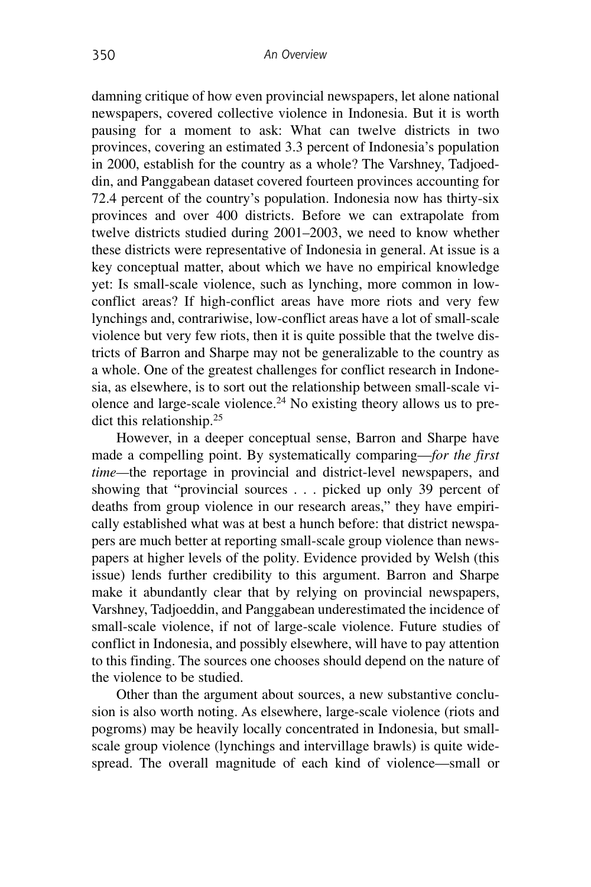damning critique of how even provincial newspapers, let alone national newspapers, covered collective violence in Indonesia. But it is worth pausing for a moment to ask: What can twelve districts in two provinces, covering an estimated 3.3 percent of Indonesia's population in 2000, establish for the country as a whole? The Varshney, Tadjoeddin, and Panggabean dataset covered fourteen provinces accounting for 72.4 percent of the country's population. Indonesia now has thirty-six provinces and over 400 districts. Before we can extrapolate from twelve districts studied during 2001–2003, we need to know whether these districts were representative of Indonesia in general. At issue is a key conceptual matter, about which we have no empirical knowledge yet: Is small-scale violence, such as lynching, more common in lowconflict areas? If high-conflict areas have more riots and very few lynchings and, contrariwise, low-conflict areas have a lot of small-scale violence but very few riots, then it is quite possible that the twelve districts of Barron and Sharpe may not be generalizable to the country as a whole. One of the greatest challenges for conflict research in Indonesia, as elsewhere, is to sort out the relationship between small-scale violence and large-scale violence.24 No existing theory allows us to predict this relationship.<sup>25</sup>

However, in a deeper conceptual sense, Barron and Sharpe have made a compelling point. By systematically comparing—*for the first time—*the reportage in provincial and district-level newspapers, and showing that "provincial sources . . . picked up only 39 percent of deaths from group violence in our research areas," they have empirically established what was at best a hunch before: that district newspapers are much better at reporting small-scale group violence than newspapers at higher levels of the polity. Evidence provided by Welsh (this issue) lends further credibility to this argument. Barron and Sharpe make it abundantly clear that by relying on provincial newspapers, Varshney, Tadjoeddin, and Panggabean underestimated the incidence of small-scale violence, if not of large-scale violence. Future studies of conflict in Indonesia, and possibly elsewhere, will have to pay attention to this finding. The sources one chooses should depend on the nature of the violence to be studied.

Other than the argument about sources, a new substantive conclusion is also worth noting. As elsewhere, large-scale violence (riots and pogroms) may be heavily locally concentrated in Indonesia, but smallscale group violence (lynchings and intervillage brawls) is quite widespread. The overall magnitude of each kind of violence—small or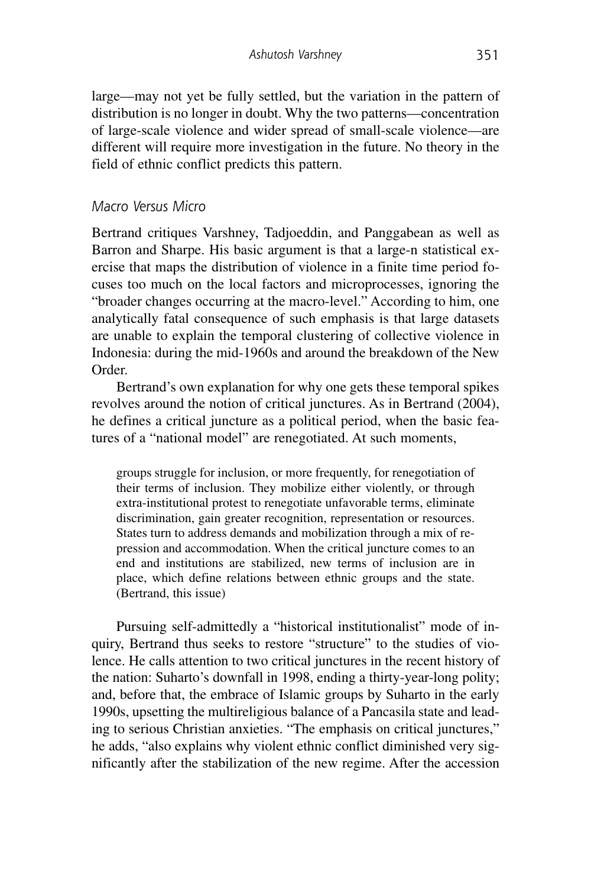large—may not yet be fully settled, but the variation in the pattern of distribution is no longer in doubt. Why the two patterns—concentration of large-scale violence and wider spread of small-scale violence—are different will require more investigation in the future. No theory in the field of ethnic conflict predicts this pattern.

#### *Macro Versus Micro*

Bertrand critiques Varshney, Tadjoeddin, and Panggabean as well as Barron and Sharpe. His basic argument is that a large-n statistical exercise that maps the distribution of violence in a finite time period focuses too much on the local factors and microprocesses, ignoring the "broader changes occurring at the macro-level." According to him, one analytically fatal consequence of such emphasis is that large datasets are unable to explain the temporal clustering of collective violence in Indonesia: during the mid-1960s and around the breakdown of the New Order.

Bertrand's own explanation for why one gets these temporal spikes revolves around the notion of critical junctures. As in Bertrand (2004), he defines a critical juncture as a political period, when the basic features of a "national model" are renegotiated. At such moments,

groups struggle for inclusion, or more frequently, for renegotiation of their terms of inclusion. They mobilize either violently, or through extra-institutional protest to renegotiate unfavorable terms, eliminate discrimination, gain greater recognition, representation or resources. States turn to address demands and mobilization through a mix of repression and accommodation. When the critical juncture comes to an end and institutions are stabilized, new terms of inclusion are in place, which define relations between ethnic groups and the state. (Bertrand, this issue)

Pursuing self-admittedly a "historical institutionalist" mode of inquiry, Bertrand thus seeks to restore "structure" to the studies of violence. He calls attention to two critical junctures in the recent history of the nation: Suharto's downfall in 1998, ending a thirty-year-long polity; and, before that, the embrace of Islamic groups by Suharto in the early 1990s, upsetting the multireligious balance of a Pancasila state and leading to serious Christian anxieties. "The emphasis on critical junctures," he adds, "also explains why violent ethnic conflict diminished very significantly after the stabilization of the new regime. After the accession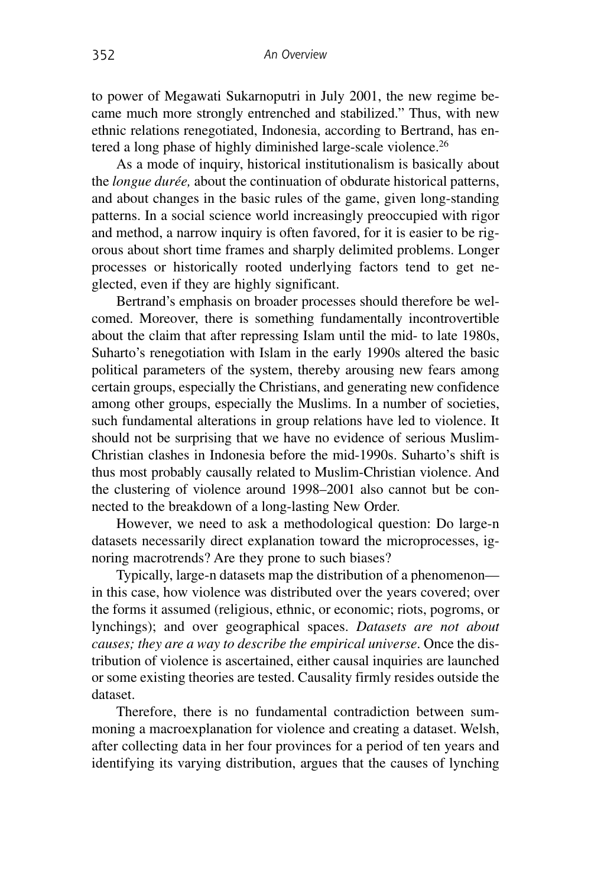to power of Megawati Sukarnoputri in July 2001, the new regime became much more strongly entrenched and stabilized." Thus, with new ethnic relations renegotiated, Indonesia, according to Bertrand, has entered a long phase of highly diminished large-scale violence.<sup>26</sup>

As a mode of inquiry, historical institutionalism is basically about the *longue durée,* about the continuation of obdurate historical patterns, and about changes in the basic rules of the game, given long-standing patterns. In a social science world increasingly preoccupied with rigor and method, a narrow inquiry is often favored, for it is easier to be rigorous about short time frames and sharply delimited problems. Longer processes or historically rooted underlying factors tend to get neglected, even if they are highly significant.

Bertrand's emphasis on broader processes should therefore be welcomed. Moreover, there is something fundamentally incontrovertible about the claim that after repressing Islam until the mid- to late 1980s, Suharto's renegotiation with Islam in the early 1990s altered the basic political parameters of the system, thereby arousing new fears among certain groups, especially the Christians, and generating new confidence among other groups, especially the Muslims. In a number of societies, such fundamental alterations in group relations have led to violence. It should not be surprising that we have no evidence of serious Muslim-Christian clashes in Indonesia before the mid-1990s. Suharto's shift is thus most probably causally related to Muslim-Christian violence. And the clustering of violence around 1998–2001 also cannot but be connected to the breakdown of a long-lasting New Order.

However, we need to ask a methodological question: Do large-n datasets necessarily direct explanation toward the microprocesses, ignoring macrotrends? Are they prone to such biases?

Typically, large-n datasets map the distribution of a phenomenon in this case, how violence was distributed over the years covered; over the forms it assumed (religious, ethnic, or economic; riots, pogroms, or lynchings); and over geographical spaces. *Datasets are not about causes; they are a way to describe the empirical universe*. Once the distribution of violence is ascertained, either causal inquiries are launched or some existing theories are tested. Causality firmly resides outside the dataset.

Therefore, there is no fundamental contradiction between summoning a macroexplanation for violence and creating a dataset. Welsh, after collecting data in her four provinces for a period of ten years and identifying its varying distribution, argues that the causes of lynching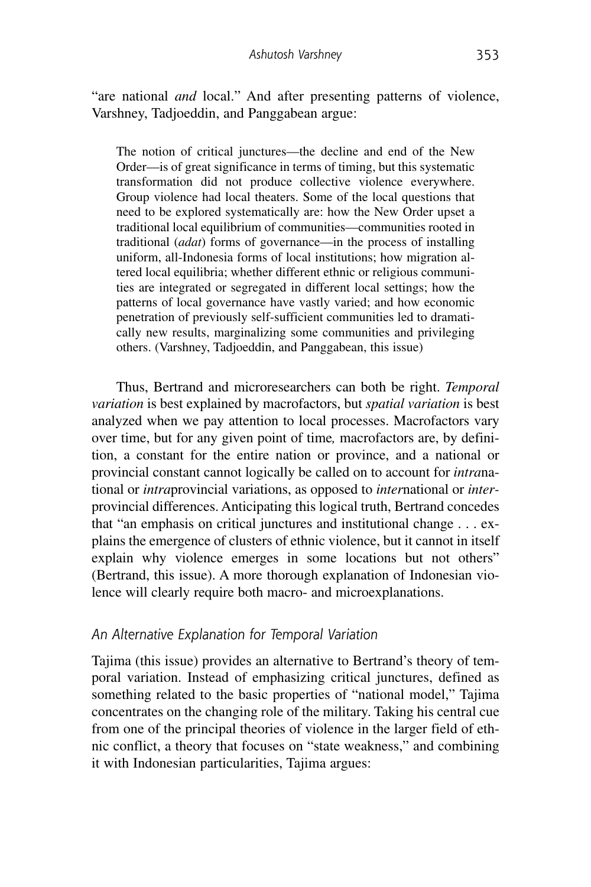"are national *and* local." And after presenting patterns of violence, Varshney, Tadjoeddin, and Panggabean argue:

The notion of critical junctures—the decline and end of the New Order—is of great significance in terms of timing, but this systematic transformation did not produce collective violence everywhere. Group violence had local theaters. Some of the local questions that need to be explored systematically are: how the New Order upset a traditional local equilibrium of communities—communities rooted in traditional (*adat*) forms of governance—in the process of installing uniform, all-Indonesia forms of local institutions; how migration altered local equilibria; whether different ethnic or religious communities are integrated or segregated in different local settings; how the patterns of local governance have vastly varied; and how economic penetration of previously self-sufficient communities led to dramatically new results, marginalizing some communities and privileging others. (Varshney, Tadjoeddin, and Panggabean, this issue)

Thus, Bertrand and microresearchers can both be right. *Temporal variation* is best explained by macrofactors, but *spatial variation* is best analyzed when we pay attention to local processes. Macrofactors vary over time, but for any given point of time*,* macrofactors are, by definition, a constant for the entire nation or province, and a national or provincial constant cannot logically be called on to account for *intra*national or *intra*provincial variations, as opposed to *inter*national or *inter*provincial differences. Anticipating this logical truth, Bertrand concedes that "an emphasis on critical junctures and institutional change . . . explains the emergence of clusters of ethnic violence, but it cannot in itself explain why violence emerges in some locations but not others" (Bertrand, this issue). A more thorough explanation of Indonesian violence will clearly require both macro- and microexplanations.

#### *An Alternative Explanation for Temporal Variation*

Tajima (this issue) provides an alternative to Bertrand's theory of temporal variation. Instead of emphasizing critical junctures, defined as something related to the basic properties of "national model," Tajima concentrates on the changing role of the military. Taking his central cue from one of the principal theories of violence in the larger field of ethnic conflict, a theory that focuses on "state weakness," and combining it with Indonesian particularities, Tajima argues: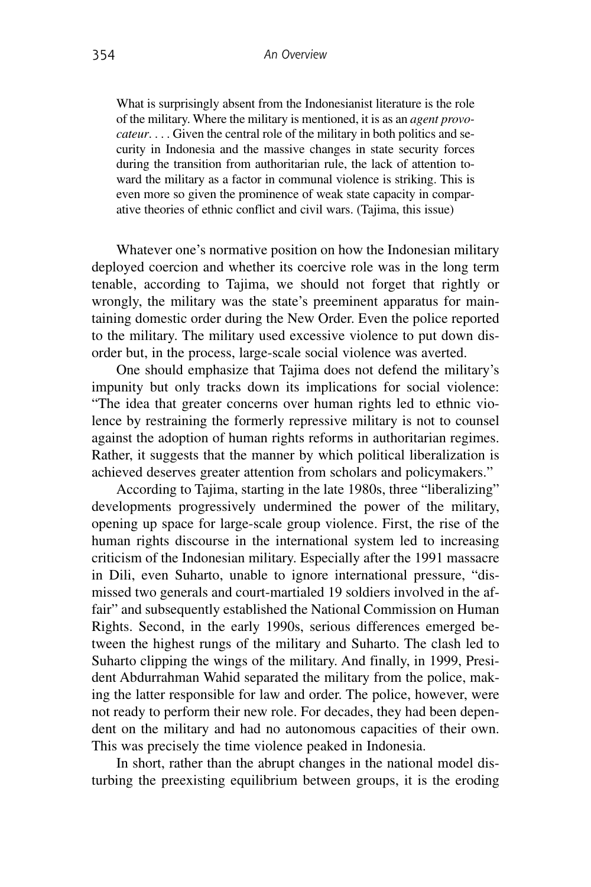What is surprisingly absent from the Indonesianist literature is the role of the military. Where the military is mentioned, it is as an *agent provocateur*. . . . Given the central role of the military in both politics and security in Indonesia and the massive changes in state security forces during the transition from authoritarian rule, the lack of attention toward the military as a factor in communal violence is striking. This is even more so given the prominence of weak state capacity in comparative theories of ethnic conflict and civil wars. (Tajima, this issue)

Whatever one's normative position on how the Indonesian military deployed coercion and whether its coercive role was in the long term tenable, according to Tajima, we should not forget that rightly or wrongly, the military was the state's preeminent apparatus for maintaining domestic order during the New Order. Even the police reported to the military. The military used excessive violence to put down disorder but, in the process, large-scale social violence was averted.

One should emphasize that Tajima does not defend the military's impunity but only tracks down its implications for social violence: "The idea that greater concerns over human rights led to ethnic violence by restraining the formerly repressive military is not to counsel against the adoption of human rights reforms in authoritarian regimes. Rather, it suggests that the manner by which political liberalization is achieved deserves greater attention from scholars and policymakers."

According to Tajima, starting in the late 1980s, three "liberalizing" developments progressively undermined the power of the military, opening up space for large-scale group violence. First, the rise of the human rights discourse in the international system led to increasing criticism of the Indonesian military. Especially after the 1991 massacre in Dili, even Suharto, unable to ignore international pressure, "dismissed two generals and court-martialed 19 soldiers involved in the affair" and subsequently established the National Commission on Human Rights. Second, in the early 1990s, serious differences emerged between the highest rungs of the military and Suharto. The clash led to Suharto clipping the wings of the military. And finally, in 1999, President Abdurrahman Wahid separated the military from the police, making the latter responsible for law and order. The police, however, were not ready to perform their new role. For decades, they had been dependent on the military and had no autonomous capacities of their own. This was precisely the time violence peaked in Indonesia.

In short, rather than the abrupt changes in the national model disturbing the preexisting equilibrium between groups, it is the eroding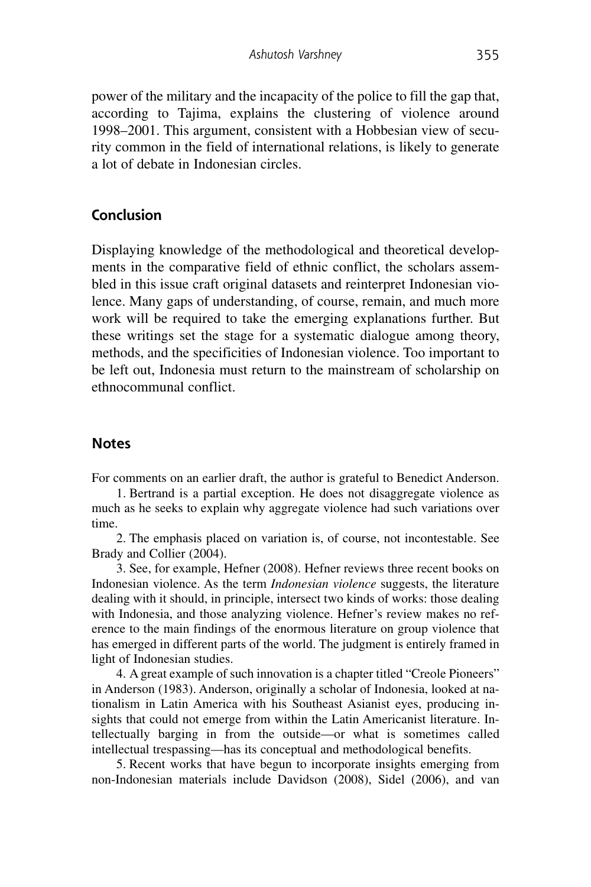power of the military and the incapacity of the police to fill the gap that, according to Tajima, explains the clustering of violence around 1998–2001. This argument, consistent with a Hobbesian view of security common in the field of international relations, is likely to generate a lot of debate in Indonesian circles.

# **Conclusion**

Displaying knowledge of the methodological and theoretical developments in the comparative field of ethnic conflict, the scholars assembled in this issue craft original datasets and reinterpret Indonesian violence. Many gaps of understanding, of course, remain, and much more work will be required to take the emerging explanations further. But these writings set the stage for a systematic dialogue among theory, methods, and the specificities of Indonesian violence. Too important to be left out, Indonesia must return to the mainstream of scholarship on ethnocommunal conflict.

## **Notes**

For comments on an earlier draft, the author is grateful to Benedict Anderson.

1. Bertrand is a partial exception. He does not disaggregate violence as much as he seeks to explain why aggregate violence had such variations over time.

2. The emphasis placed on variation is, of course, not incontestable. See Brady and Collier (2004).

3. See, for example, Hefner (2008). Hefner reviews three recent books on Indonesian violence. As the term *Indonesian violence* suggests, the literature dealing with it should, in principle, intersect two kinds of works: those dealing with Indonesia, and those analyzing violence. Hefner's review makes no reference to the main findings of the enormous literature on group violence that has emerged in different parts of the world. The judgment is entirely framed in light of Indonesian studies.

4. A great example of such innovation is a chapter titled "Creole Pioneers" in Anderson (1983). Anderson, originally a scholar of Indonesia, looked at nationalism in Latin America with his Southeast Asianist eyes, producing insights that could not emerge from within the Latin Americanist literature. Intellectually barging in from the outside—or what is sometimes called intellectual trespassing—has its conceptual and methodological benefits.

5. Recent works that have begun to incorporate insights emerging from non-Indonesian materials include Davidson (2008), Sidel (2006), and van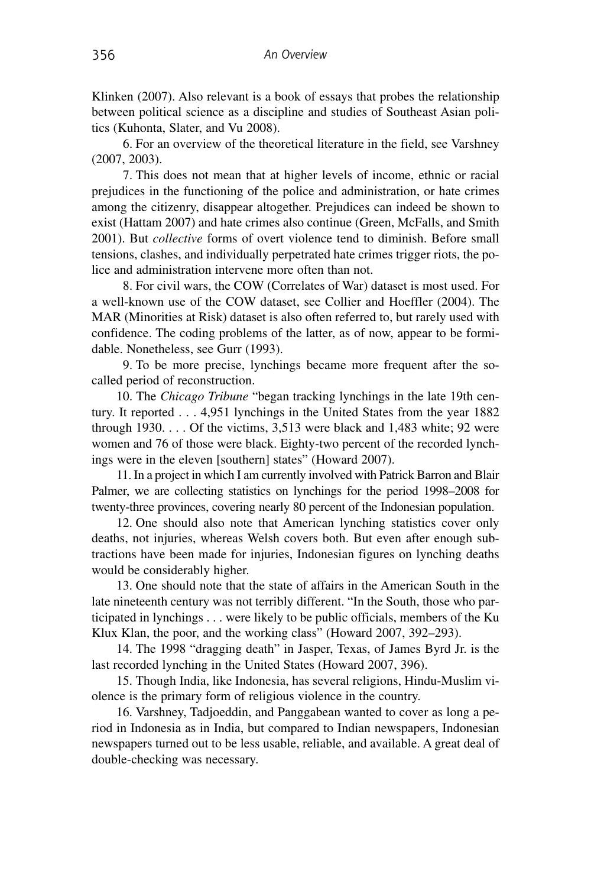Klinken (2007). Also relevant is a book of essays that probes the relationship between political science as a discipline and studies of Southeast Asian politics (Kuhonta, Slater, and Vu 2008).

6. For an overview of the theoretical literature in the field, see Varshney (2007, 2003).

7. This does not mean that at higher levels of income, ethnic or racial prejudices in the functioning of the police and administration, or hate crimes among the citizenry, disappear altogether. Prejudices can indeed be shown to exist (Hattam 2007) and hate crimes also continue (Green, McFalls, and Smith 2001). But *collective* forms of overt violence tend to diminish. Before small tensions, clashes, and individually perpetrated hate crimes trigger riots, the police and administration intervene more often than not.

8. For civil wars, the COW (Correlates of War) dataset is most used. For a well-known use of the COW dataset, see Collier and Hoeffler (2004). The MAR (Minorities at Risk) dataset is also often referred to, but rarely used with confidence. The coding problems of the latter, as of now, appear to be formidable. Nonetheless, see Gurr (1993).

9. To be more precise, lynchings became more frequent after the socalled period of reconstruction.

10. The *Chicago Tribune* "began tracking lynchings in the late 19th century. It reported . . . 4,951 lynchings in the United States from the year 1882 through  $1930...$  Of the victims,  $3,513$  were black and  $1,483$  white; 92 were women and 76 of those were black. Eighty-two percent of the recorded lynchings were in the eleven [southern] states" (Howard 2007).

11. In a project in which I am currently involved with Patrick Barron and Blair Palmer, we are collecting statistics on lynchings for the period 1998–2008 for twenty-three provinces, covering nearly 80 percent of the Indonesian population.

12. One should also note that American lynching statistics cover only deaths, not injuries, whereas Welsh covers both. But even after enough subtractions have been made for injuries, Indonesian figures on lynching deaths would be considerably higher.

13. One should note that the state of affairs in the American South in the late nineteenth century was not terribly different. "In the South, those who participated in lynchings . . . were likely to be public officials, members of the Ku Klux Klan, the poor, and the working class" (Howard 2007, 392–293).

14. The 1998 "dragging death" in Jasper, Texas, of James Byrd Jr. is the last recorded lynching in the United States (Howard 2007, 396).

15. Though India, like Indonesia, has several religions, Hindu-Muslim violence is the primary form of religious violence in the country.

16. Varshney, Tadjoeddin, and Panggabean wanted to cover as long a period in Indonesia as in India, but compared to Indian newspapers, Indonesian newspapers turned out to be less usable, reliable, and available. A great deal of double-checking was necessary.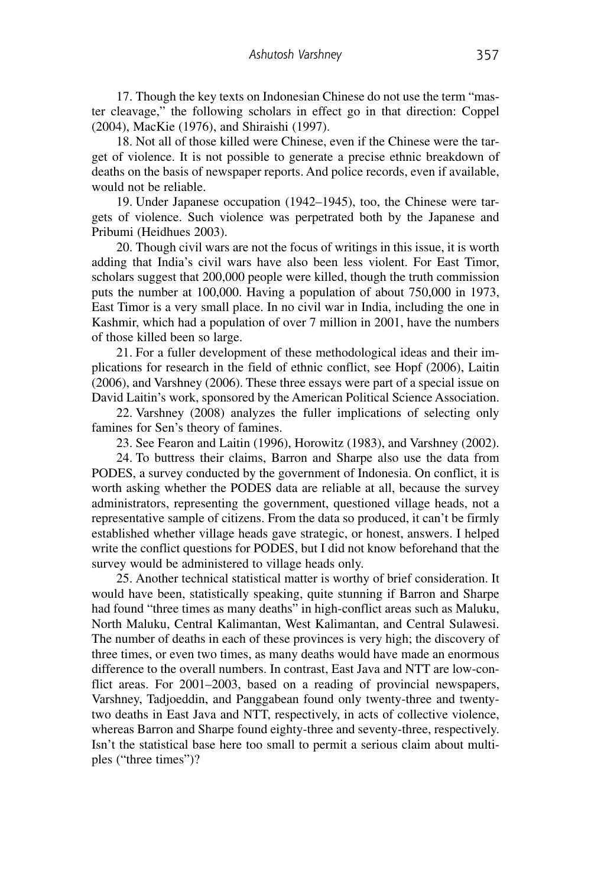17. Though the key texts on Indonesian Chinese do not use the term "master cleavage," the following scholars in effect go in that direction: Coppel (2004), MacKie (1976), and Shiraishi (1997).

18. Not all of those killed were Chinese, even if the Chinese were the target of violence. It is not possible to generate a precise ethnic breakdown of deaths on the basis of newspaper reports. And police records, even if available, would not be reliable.

19. Under Japanese occupation (1942–1945), too, the Chinese were targets of violence. Such violence was perpetrated both by the Japanese and Pribumi (Heidhues 2003).

20. Though civil wars are not the focus of writings in this issue, it is worth adding that India's civil wars have also been less violent. For East Timor, scholars suggest that 200,000 people were killed, though the truth commission puts the number at 100,000. Having a population of about 750,000 in 1973, East Timor is a very small place. In no civil war in India, including the one in Kashmir, which had a population of over 7 million in 2001, have the numbers of those killed been so large.

21. For a fuller development of these methodological ideas and their implications for research in the field of ethnic conflict, see Hopf (2006), Laitin (2006), and Varshney (2006). These three essays were part of a special issue on David Laitin's work, sponsored by the American Political Science Association.

22. Varshney (2008) analyzes the fuller implications of selecting only famines for Sen's theory of famines.

23. See Fearon and Laitin (1996), Horowitz (1983), and Varshney (2002).

24. To buttress their claims, Barron and Sharpe also use the data from PODES, a survey conducted by the government of Indonesia. On conflict, it is worth asking whether the PODES data are reliable at all, because the survey administrators, representing the government, questioned village heads, not a representative sample of citizens. From the data so produced, it can't be firmly established whether village heads gave strategic, or honest, answers. I helped write the conflict questions for PODES, but I did not know beforehand that the survey would be administered to village heads only.

25. Another technical statistical matter is worthy of brief consideration. It would have been, statistically speaking, quite stunning if Barron and Sharpe had found "three times as many deaths" in high-conflict areas such as Maluku, North Maluku, Central Kalimantan, West Kalimantan, and Central Sulawesi. The number of deaths in each of these provinces is very high; the discovery of three times, or even two times, as many deaths would have made an enormous difference to the overall numbers. In contrast, East Java and NTT are low-conflict areas. For 2001–2003, based on a reading of provincial newspapers, Varshney, Tadjoeddin, and Panggabean found only twenty-three and twentytwo deaths in East Java and NTT, respectively, in acts of collective violence, whereas Barron and Sharpe found eighty-three and seventy-three, respectively. Isn't the statistical base here too small to permit a serious claim about multiples ("three times")?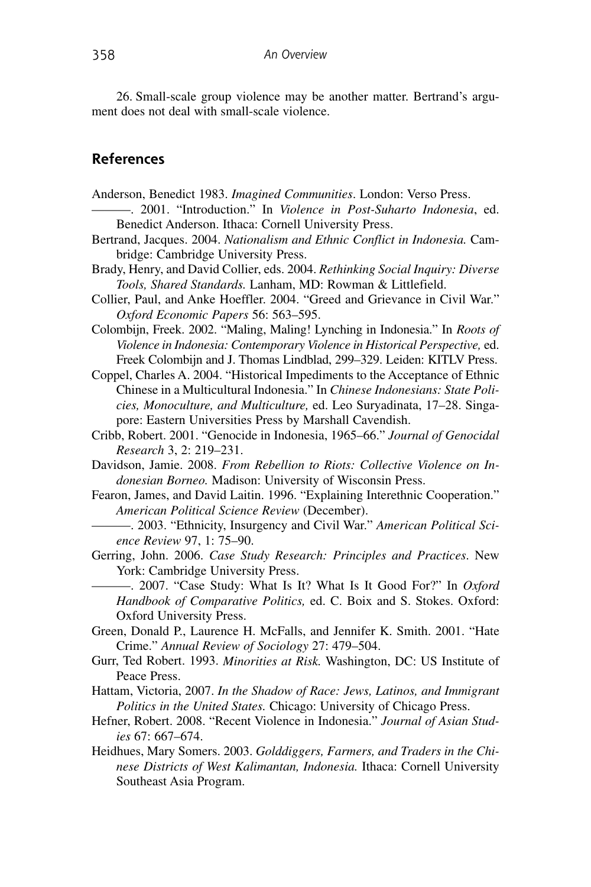26. Small-scale group violence may be another matter. Bertrand's argument does not deal with small-scale violence.

#### **References**

- Anderson, Benedict 1983. *Imagined Communities*. London: Verso Press.
- ———. 2001. "Introduction." In *Violence in Post-Suharto Indonesia*, ed. Benedict Anderson. Ithaca: Cornell University Press.
- Bertrand, Jacques. 2004. *Nationalism and Ethnic Conflict in Indonesia.* Cambridge: Cambridge University Press.
- Brady, Henry, and David Collier, eds. 2004. *Rethinking Social Inquiry: Diverse Tools, Shared Standards.* Lanham, MD: Rowman & Littlefield.
- Collier, Paul, and Anke Hoeffler. 2004. "Greed and Grievance in Civil War." *Oxford Economic Papers* 56: 563–595.
- Colombijn, Freek. 2002. "Maling, Maling! Lynching in Indonesia." In *Roots of Violence in Indonesia: Contemporary Violence in Historical Perspective,* ed. Freek Colombijn and J. Thomas Lindblad, 299–329. Leiden: KITLV Press.
- Coppel, Charles A. 2004. "Historical Impediments to the Acceptance of Ethnic Chinese in a Multicultural Indonesia." In *Chinese Indonesians: State Policies, Monoculture, and Multiculture,* ed. Leo Suryadinata, 17–28. Singapore: Eastern Universities Press by Marshall Cavendish.
- Cribb, Robert. 2001. "Genocide in Indonesia, 1965–66." *Journal of Genocidal Research* 3, 2: 219–231.

Davidson, Jamie. 2008. *From Rebellion to Riots: Collective Violence on Indonesian Borneo.* Madison: University of Wisconsin Press.

- Fearon, James, and David Laitin. 1996. "Explaining Interethnic Cooperation." *American Political Science Review* (December).
- ———. 2003. "Ethnicity, Insurgency and Civil War." *American Political Science Review* 97, 1: 75–90.
- Gerring, John. 2006. *Case Study Research: Principles and Practices*. New York: Cambridge University Press.
	- ———. 2007. "Case Study: What Is It? What Is It Good For?" In *Oxford Handbook of Comparative Politics,* ed. C. Boix and S. Stokes. Oxford: Oxford University Press.
- Green, Donald P., Laurence H. McFalls, and Jennifer K. Smith. 2001. "Hate Crime." *Annual Review of Sociology* 27: 479–504.
- Gurr, Ted Robert. 1993. *Minorities at Risk.* Washington, DC: US Institute of Peace Press.
- Hattam, Victoria, 2007. *In the Shadow of Race: Jews, Latinos, and Immigrant Politics in the United States.* Chicago: University of Chicago Press.
- Hefner, Robert. 2008. "Recent Violence in Indonesia." *Journal of Asian Studies* 67: 667–674.
- Heidhues, Mary Somers. 2003. *Golddiggers, Farmers, and Traders in the Chinese Districts of West Kalimantan, Indonesia.* Ithaca: Cornell University Southeast Asia Program.